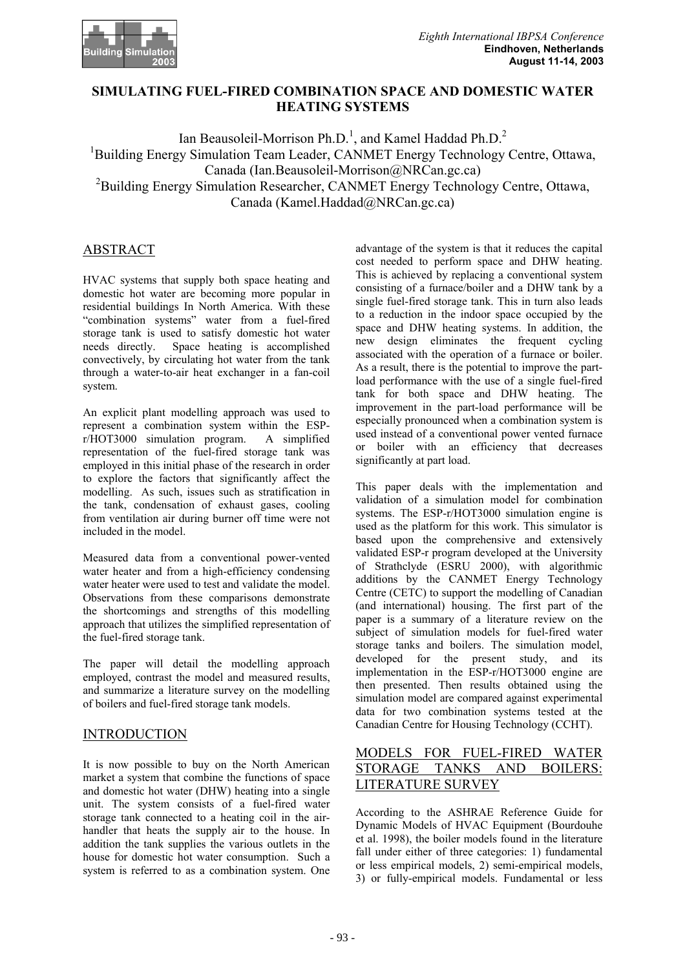

## **SIMULATING FUEL-FIRED COMBINATION SPACE AND DOMESTIC WATER HEATING SYSTEMS**

Ian Beausoleil-Morrison Ph.D.<sup>1</sup>, and Kamel Haddad Ph.D.<sup>2</sup> <sup>1</sup>Building Energy Simulation Team Leader, CANMET Energy Technology Centre, Ottawa, Canada (Ian.Beausoleil-Morrison@NRCan.gc.ca) <sup>2</sup>Building Energy Simulation Researcher, CANMET Energy Technology Centre, Ottawa, Canada (Kamel.Haddad@NRCan.gc.ca)

# ABSTRACT

HVAC systems that supply both space heating and domestic hot water are becoming more popular in residential buildings In North America. With these "combination systems" water from a fuel-fired storage tank is used to satisfy domestic hot water<br>needs directly. Space heating is accomplished Space heating is accomplished convectively, by circulating hot water from the tank through a water-to-air heat exchanger in a fan-coil system.

An explicit plant modelling approach was used to represent a combination system within the ESPr/HOT3000 simulation program. A simplified representation of the fuel-fired storage tank was employed in this initial phase of the research in order to explore the factors that significantly affect the modelling. As such, issues such as stratification in the tank, condensation of exhaust gases, cooling from ventilation air during burner off time were not included in the model.

Measured data from a conventional power-vented water heater and from a high-efficiency condensing water heater were used to test and validate the model. Observations from these comparisons demonstrate the shortcomings and strengths of this modelling approach that utilizes the simplified representation of the fuel-fired storage tank.

The paper will detail the modelling approach employed, contrast the model and measured results, and summarize a literature survey on the modelling of boilers and fuel-fired storage tank models.

## INTRODUCTION

It is now possible to buy on the North American market a system that combine the functions of space and domestic hot water (DHW) heating into a single unit. The system consists of a fuel-fired water storage tank connected to a heating coil in the airhandler that heats the supply air to the house. In addition the tank supplies the various outlets in the house for domestic hot water consumption. Such a system is referred to as a combination system. One

advantage of the system is that it reduces the capital cost needed to perform space and DHW heating. This is achieved by replacing a conventional system consisting of a furnace/boiler and a DHW tank by a single fuel-fired storage tank. This in turn also leads to a reduction in the indoor space occupied by the space and DHW heating systems. In addition, the new design eliminates the frequent cycling associated with the operation of a furnace or boiler. As a result, there is the potential to improve the partload performance with the use of a single fuel-fired tank for both space and DHW heating. The improvement in the part-load performance will be especially pronounced when a combination system is used instead of a conventional power vented furnace or boiler with an efficiency that decreases significantly at part load.

This paper deals with the implementation and validation of a simulation model for combination systems. The ESP-r/HOT3000 simulation engine is used as the platform for this work. This simulator is based upon the comprehensive and extensively validated ESP-r program developed at the University of Strathclyde (ESRU 2000), with algorithmic additions by the CANMET Energy Technology Centre (CETC) to support the modelling of Canadian (and international) housing. The first part of the paper is a summary of a literature review on the subject of simulation models for fuel-fired water storage tanks and boilers. The simulation model, developed for the present study, and its implementation in the ESP-r/HOT3000 engine are then presented. Then results obtained using the simulation model are compared against experimental data for two combination systems tested at the Canadian Centre for Housing Technology (CCHT).

# MODELS FOR FUEL-FIRED WATER STORAGE TANKS AND BOILERS: LITERATURE SURVEY

According to the ASHRAE Reference Guide for Dynamic Models of HVAC Equipment (Bourdouhe et al. 1998), the boiler models found in the literature fall under either of three categories: 1) fundamental or less empirical models, 2) semi-empirical models, 3) or fully-empirical models. Fundamental or less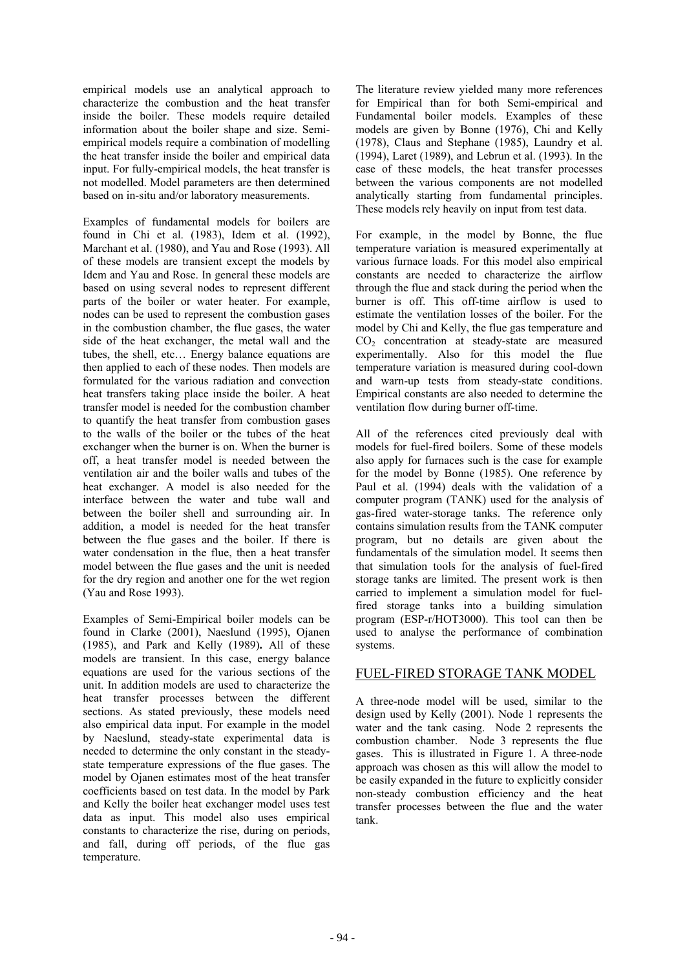empirical models use an analytical approach to characterize the combustion and the heat transfer inside the boiler. These models require detailed information about the boiler shape and size. Semiempirical models require a combination of modelling the heat transfer inside the boiler and empirical data input. For fully-empirical models, the heat transfer is not modelled. Model parameters are then determined based on in-situ and/or laboratory measurements.

Examples of fundamental models for boilers are found in Chi et al. (1983), Idem et al. (1992), Marchant et al. (1980), and Yau and Rose (1993). All of these models are transient except the models by Idem and Yau and Rose. In general these models are based on using several nodes to represent different parts of the boiler or water heater. For example, nodes can be used to represent the combustion gases in the combustion chamber, the flue gases, the water side of the heat exchanger, the metal wall and the tubes, the shell, etc… Energy balance equations are then applied to each of these nodes. Then models are formulated for the various radiation and convection heat transfers taking place inside the boiler. A heat transfer model is needed for the combustion chamber to quantify the heat transfer from combustion gases to the walls of the boiler or the tubes of the heat exchanger when the burner is on. When the burner is off, a heat transfer model is needed between the ventilation air and the boiler walls and tubes of the heat exchanger. A model is also needed for the interface between the water and tube wall and between the boiler shell and surrounding air. In addition, a model is needed for the heat transfer between the flue gases and the boiler. If there is water condensation in the flue, then a heat transfer model between the flue gases and the unit is needed for the dry region and another one for the wet region (Yau and Rose 1993).

Examples of Semi-Empirical boiler models can be found in Clarke (2001), Naeslund (1995), Ojanen (1985), and Park and Kelly (1989)**.** All of these models are transient. In this case, energy balance equations are used for the various sections of the unit. In addition models are used to characterize the heat transfer processes between the different sections. As stated previously, these models need also empirical data input. For example in the model by Naeslund, steady-state experimental data is needed to determine the only constant in the steadystate temperature expressions of the flue gases. The model by Ojanen estimates most of the heat transfer coefficients based on test data. In the model by Park and Kelly the boiler heat exchanger model uses test data as input. This model also uses empirical constants to characterize the rise, during on periods, and fall, during off periods, of the flue gas temperature.

The literature review yielded many more references for Empirical than for both Semi-empirical and Fundamental boiler models. Examples of these models are given by Bonne (1976), Chi and Kelly (1978), Claus and Stephane (1985), Laundry et al. (1994), Laret (1989), and Lebrun et al. (1993). In the case of these models, the heat transfer processes between the various components are not modelled analytically starting from fundamental principles. These models rely heavily on input from test data.

For example, in the model by Bonne, the flue temperature variation is measured experimentally at various furnace loads. For this model also empirical constants are needed to characterize the airflow through the flue and stack during the period when the burner is off. This off-time airflow is used to estimate the ventilation losses of the boiler. For the model by Chi and Kelly, the flue gas temperature and CO2 concentration at steady-state are measured experimentally. Also for this model the flue temperature variation is measured during cool-down and warn-up tests from steady-state conditions. Empirical constants are also needed to determine the ventilation flow during burner off-time.

All of the references cited previously deal with models for fuel-fired boilers. Some of these models also apply for furnaces such is the case for example for the model by Bonne (1985). One reference by Paul et al. (1994) deals with the validation of a computer program (TANK) used for the analysis of gas-fired water-storage tanks. The reference only contains simulation results from the TANK computer program, but no details are given about the fundamentals of the simulation model. It seems then that simulation tools for the analysis of fuel-fired storage tanks are limited. The present work is then carried to implement a simulation model for fuelfired storage tanks into a building simulation program (ESP-r/HOT3000). This tool can then be used to analyse the performance of combination systems.

## FUEL-FIRED STORAGE TANK MODEL

A three-node model will be used, similar to the design used by Kelly (2001). Node 1 represents the water and the tank casing. Node 2 represents the combustion chamber. Node 3 represents the flue gases. This is illustrated in Figure 1. A three-node approach was chosen as this will allow the model to be easily expanded in the future to explicitly consider non-steady combustion efficiency and the heat transfer processes between the flue and the water tank.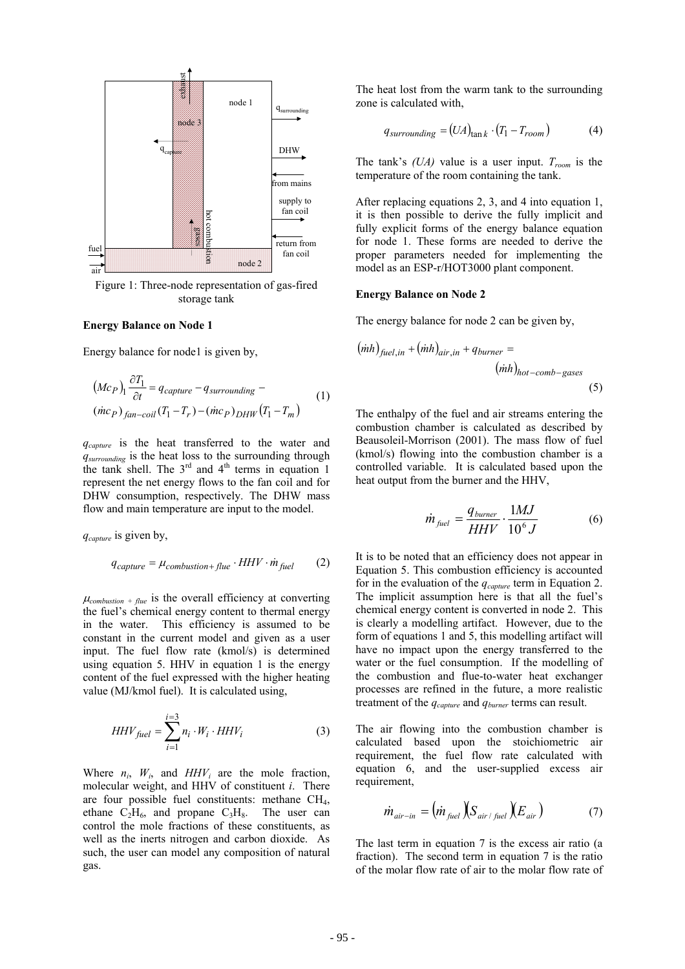

Figure 1: Three-node representation of gas-fired storage tank

#### **Energy Balance on Node 1**

Energy balance for node1 is given by,

$$
\left(Mc_P\right)_1 \frac{\partial T_1}{\partial t} = q_{capture} - q_{surrounding} \tag{1}
$$
\n
$$
\left(\dot{mc}_P\right)_{fan-coil} (T_1 - T_r) - \left(\dot{mc}_P\right)_{DHW} (T_1 - T_m)
$$

*q<sub>capture</sub>* is the heat transferred to the water and *qsurrounding* is the heat loss to the surrounding through the tank shell. The  $3<sup>rd</sup>$  and  $4<sup>th</sup>$  terms in equation 1 represent the net energy flows to the fan coil and for DHW consumption, respectively. The DHW mass flow and main temperature are input to the model.

 $q_{\textit{capture}}$  is given by,

$$
q_{capture} = \mu_{combination + flue} \cdot HHV \cdot \dot{m}_{fuel} \tag{2}
$$

 $\mu_{combination + flue}$  is the overall efficiency at converting the fuel's chemical energy content to thermal energy in the water. This efficiency is assumed to be constant in the current model and given as a user input. The fuel flow rate (kmol/s) is determined using equation 5. HHV in equation 1 is the energy content of the fuel expressed with the higher heating value (MJ/kmol fuel). It is calculated using,

$$
HHV_{fuel} = \sum_{i=1}^{i=3} n_i \cdot W_i \cdot HHV_i
$$
 (3)

Where  $n_i$ ,  $W_i$ , and  $HHV_i$  are the mole fraction, molecular weight, and HHV of constituent *i*. There are four possible fuel constituents: methane  $CH<sub>4</sub>$ , ethane  $C_2H_6$ , and propane  $C_3H_8$ . The user can control the mole fractions of these constituents, as well as the inerts nitrogen and carbon dioxide. As such, the user can model any composition of natural gas.

zone is calculated with,

$$
q_{surrounding} = (UA)_{\tan k} \cdot (T_1 - T_{room}) \tag{4}
$$

The tank's  $(UA)$  value is a user input.  $T_{room}$  is the temperature of the room containing the tank.

After replacing equations 2, 3, and 4 into equation 1, it is then possible to derive the fully implicit and fully explicit forms of the energy balance equation for node 1. These forms are needed to derive the proper parameters needed for implementing the model as an ESP-r/HOT3000 plant component.

#### **Energy Balance on Node 2**

The energy balance for node 2 can be given by,

$$
(inh)_{fuel,in} + (inh)_{air,in} + q_{burner} =
$$

$$
(inh)_{hot-comb-gases}
$$
(5)

The enthalpy of the fuel and air streams entering the combustion chamber is calculated as described by Beausoleil-Morrison (2001). The mass flow of fuel (kmol/s) flowing into the combustion chamber is a controlled variable. It is calculated based upon the heat output from the burner and the HHV,

$$
\dot{m}_{\text{fuel}} = \frac{q_{\text{burner}}}{HHV} \cdot \frac{1MJ}{10^6 J} \tag{6}
$$

It is to be noted that an efficiency does not appear in Equation 5. This combustion efficiency is accounted for in the evaluation of the *qcapture* term in Equation 2. The implicit assumption here is that all the fuel's chemical energy content is converted in node 2. This is clearly a modelling artifact. However, due to the form of equations 1 and 5, this modelling artifact will have no impact upon the energy transferred to the water or the fuel consumption. If the modelling of the combustion and flue-to-water heat exchanger processes are refined in the future, a more realistic treatment of the *qcapture* and *qburner* terms can result.

The air flowing into the combustion chamber is calculated based upon the stoichiometric air requirement, the fuel flow rate calculated with equation 6, and the user-supplied excess air requirement,

$$
\dot{m}_{air-in} = (m_{fuel}) (S_{air/fuel}) (E_{air}) \tag{7}
$$

The last term in equation 7 is the excess air ratio (a fraction). The second term in equation 7 is the ratio of the molar flow rate of air to the molar flow rate of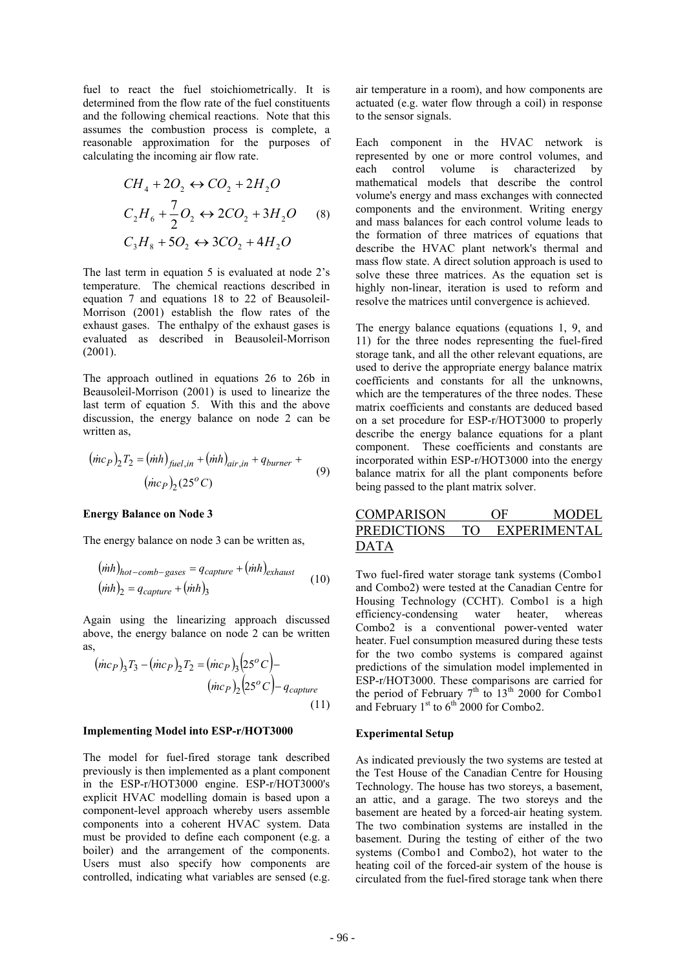fuel to react the fuel stoichiometrically. It is determined from the flow rate of the fuel constituents and the following chemical reactions. Note that this assumes the combustion process is complete, a reasonable approximation for the purposes of calculating the incoming air flow rate.

$$
CH_4 + 2O_2 \leftrightarrow CO_2 + 2H_2O
$$
  
\n
$$
C_2H_6 + \frac{7}{2}O_2 \leftrightarrow 2CO_2 + 3H_2O
$$
 (8)  
\n
$$
C_3H_8 + 5O_2 \leftrightarrow 3CO_2 + 4H_2O
$$

The last term in equation  $5$  is evaluated at node  $2's$ temperature. The chemical reactions described in equation 7 and equations 18 to 22 of Beausoleil-Morrison (2001) establish the flow rates of the exhaust gases. The enthalpy of the exhaust gases is evaluated as described in Beausoleil-Morrison (2001).

The approach outlined in equations 26 to 26b in Beausoleil-Morrison (2001) is used to linearize the last term of equation 5. With this and the above discussion, the energy balance on node 2 can be written as,

$$
(\dot{m}c_P)_2 T_2 = (\dot{m}h)_{\text{fuel,in}} + (\dot{m}h)_{\text{air,in}} + q_{\text{burner}} +
$$
  
 $(\dot{m}c_P)_2 (25^{\circ}C)$  (9)

#### **Energy Balance on Node 3**

The energy balance on node 3 can be written as,

$$
(inh)_{hot-comb-gases} = q_{capture} + (inh)_{exhaust}
$$
  

$$
(inh)_{2} = q_{capture} + (inh)_{3}
$$
 (10)

Again using the linearizing approach discussed above, the energy balance on node 2 can be written as,

$$
(mc_P)_3T_3 - (mc_P)_2T_2 = (mc_P)_3(25^oC) -
$$

$$
(mc_P)_2(25^oC) - q_{capture}
$$

$$
(11)
$$

#### **plementing Model into ESP-r/HOT3000 Im**

The model for fuel-fired storage tank described previously is then implemented as a plant component in the ESP-r/HOT3000 engine. ESP-r/HOT3000's explicit HVAC modelling domain is based upon a component-level approach whereby users assemble components into a coherent HVAC system. Data must be provided to define each component (e.g. a boiler) and the arrangement of the components. Users must also specify how components are controlled, indicating what variables are sensed (e.g.

air temperature in a room), and how components are actuated (e.g. water flow through a coil) in response to the sensor signals.

Each component in the HVAC network is represented by one or more control volumes, and each control volume is characterized by mathematical models that describe the control volume's energy and mass exchanges with connected components and the environment. Writing energy and mass balances for each control volume leads to the formation of three matrices of equations that describe the HVAC plant network's thermal and mass flow state. A direct solution approach is used to solve these three matrices. As the equation set is highly non-linear, iteration is used to reform and resolve the matrices until convergence is achieved.

The energy balance equations (equations 1, 9, and 11) for the three nodes representing the fuel-fired storage tank, and all the other relevant equations, are used to derive the appropriate energy balance matrix coefficients and constants for all the unknowns, which are the temperatures of the three nodes. These matrix coefficients and constants are deduced based on a set procedure for ESP-r/HOT3000 to properly describe the energy balance equations for a plant component. These coefficients and constants are incorporated within ESP-r/HOT3000 into the energy balance matrix for all the plant components before being passed to the plant matrix solver.

# COMPARISON OF MODEL PREDICTIONS TO EXPERIMENTAL DATA

Two fuel-fired water storage tank systems (Combo1 Combo2 is a conventional power-vented water and Combo2) were tested at the Canadian Centre for Housing Technology (CCHT). Combo1 is a high efficiency-condensing water heater, whereas heater. Fuel consumption measured during these tests for the two combo systems is compared against predictions of the simulation model implemented in ESP-r/HOT3000. These comparisons are carried for the period of February  $7<sup>th</sup>$  to  $13<sup>th</sup>$  2000 for Combo1 and February  $1<sup>st</sup>$  to  $6<sup>th</sup>$  2000 for Combo2.

#### **xperimental Setup E**

As indicated previously the two systems are tested at the Test House of the Canadian Centre for Housing Technology. The house has two storeys, a basement, an attic, and a garage. The two storeys and the basement are heated by a forced-air heating system. The two combination systems are installed in the basement. During the testing of either of the two systems (Combo1 and Combo2), hot water to the heating coil of the forced-air system of the house is circulated from the fuel-fired storage tank when there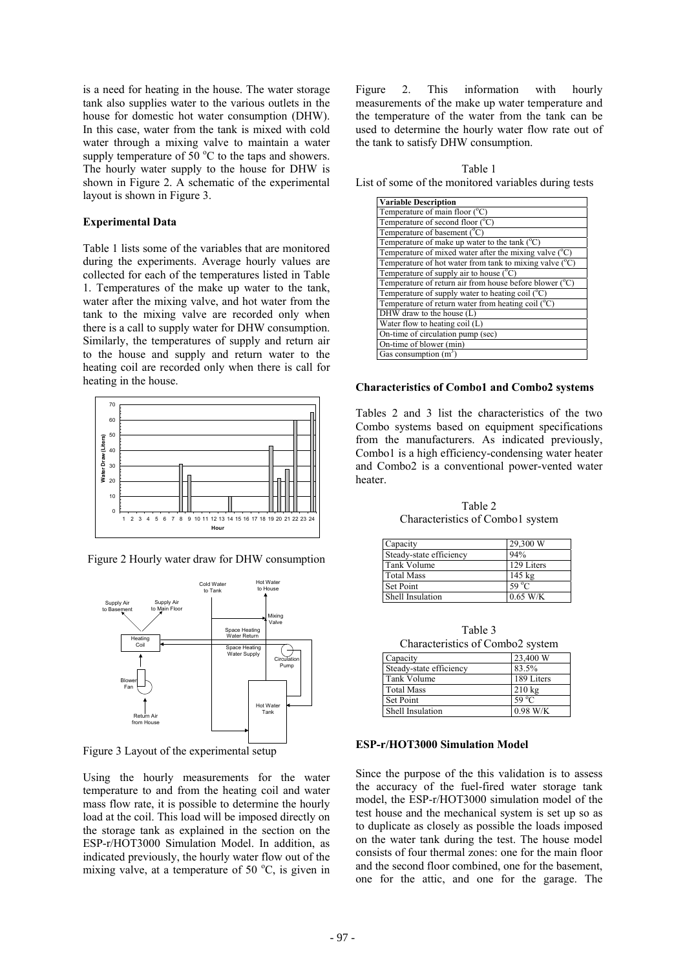is a need for heating in the house. The water storage tank also supplies water to the various outlets in the house for domestic hot water consumption (DHW). In this case, water from the tank is mixed with cold water through a mixing valve to maintain a water supply temperature of  $50^{\circ}$ C to the taps and showers. The hourly water supply to the house for DHW is shown in Figure 2. A schematic of the experimental layout is shown in Figure 3.

### **Experimental Data**

Table 1 lists some of the variables that are monitored during the experiments. Average hourly values are collected for each of the temperatures listed in Table 1. Temperatures of the make up water to the tank, water after the mixing valve, and hot water from the tank to the mixing valve are recorded only when there is a call to supply water for DHW consumption. Similarly, the temperatures of supply and return air to the house and supply and return water to the heating coil are recorded only when there is call for heating in the house.



Figure 2 Hourly water draw for DHW consumption



Figure 3 Layout of the experimental setup

Using the hourly measurements for the water temperature to and from the heating coil and water mass flow rate, it is possible to determine the hourly load at the coil. This load will be imposed directly on the storage tank as explained in the section on the ESP-r/HOT3000 Simulation Model. In addition, as indicated previously, the hourly water flow out of the mixing valve, at a temperature of 50  $^{\circ}$ C, is given in

Figure 2. This information with hourly measurements of the make up water temperature and the temperature of the water from the tank can be used to determine the hourly water flow rate out of the tank to satisfy DHW consumption.

List of some of the monitored variables during tests Table 1

| <b>Variable Description</b>                                      |
|------------------------------------------------------------------|
| Temperature of main floor $(^{\circ}C)$                          |
| Temperature of second floor $(^{\circ}C)$                        |
| Temperature of basement (°C)                                     |
| Temperature of make up water to the tank $(^{\circ}C)$           |
| Temperature of mixed water after the mixing valve $(^{\circ}C)$  |
| Temperature of hot water from tank to mixing valve $(^{\circ}C)$ |
| Temperature of supply air to house $({}^{\circ}C)$               |
| Temperature of return air from house before blower $(^{\circ}C)$ |
| Temperature of supply water to heating coil (°C)                 |
| Temperature of return water from heating coil $(^{\circ}C)$      |
| DHW draw to the house (L)                                        |
| Water flow to heating coil (L)                                   |
| On-time of circulation pump (sec)                                |
| On-time of blower (min)                                          |
| Gas consumption $(m^3)$                                          |

#### **Characteristics of Combo1 and Combo2 systems**

Combo systems based on equipment specifications Tables 2 and 3 list the characteristics of the two from the manufacturers. As indicated previously, Combo1 is a high efficiency-condensing water heater and Combo2 is a conventional power-vented water heater.

Table 2 Characteristics of Combo1 system

| Capacity                | 29,300 W       |
|-------------------------|----------------|
| Steady-state efficiency | 94%            |
| Tank Volume             | 129 Liters     |
| <b>Total Mass</b>       | $145$ kg       |
| Set Point               | $59^{\circ}$ C |
| Shell Insulation        | $0.65$ W/K     |

Characteristics of Combo2 system Table 3

| Capacity                | 23,400 W         |
|-------------------------|------------------|
| Steady-state efficiency | 83.5%            |
| Tank Volume             | 189 Liters       |
| <b>Total Mass</b>       | $210 \text{ kg}$ |
| Set Point               | 59 $^{\circ}$ C  |
| Shell Insulation        | $0.98$ W/K       |

#### **ESP-r/HOT3000 Simulation Model**

Since the purpose of the this validation is to assess the accuracy of the fuel-fired water storage tank one for the attic, and one for the garage. The model, the ESP-r/HOT3000 simulation model of the test house and the mechanical system is set up so as to duplicate as closely as possible the loads imposed on the water tank during the test. The house model consists of four thermal zones: one for the main floor and the second floor combined, one for the basement,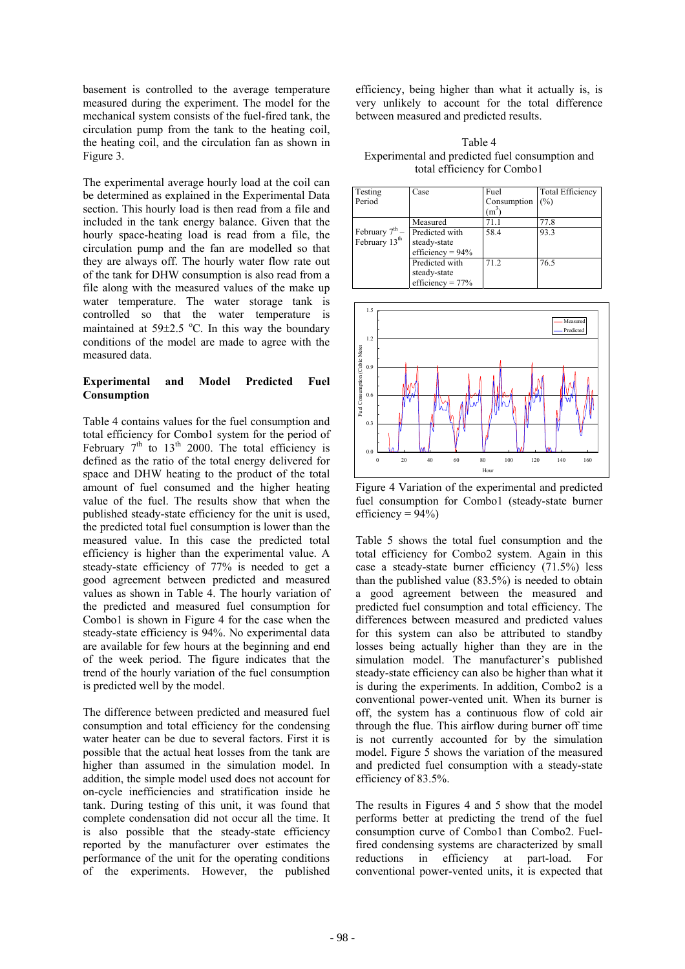basement is controlled to the average temperature measured during the experiment. The model for the mechanical system consists of the fuel-fired tank, the circulation pump from the tank to the heating coil, the heating coil, and the circulation fan as shown in Figure 3.

The experimental average hourly load at the coil can be determined as explained in the Experimental Data section. This hourly load is then read from a file and  $\begin{bmatrix} Pe \end{bmatrix}$ included in the tank energy balance. Given that the hourly space-heating load is read from a file, the circulation pump and the fan are modelled so that they are always off. The hourly water flow rate out of the tank for DHW consumption is also read from a file along with the measured values of the make up water temperature. The water storage tank is controlled so that the water temperature is maintained at  $59\pm2.5$  °C. In this way the boundary conditions of the model are made to agree with the measured data.

### **Experimental and Model Predicted Fuel Consumption**

total efficiency for Combo1 system for the period of February  $7<sup>th</sup>$  to  $13<sup>th</sup>$  2000. The total efficiency is Table 4 contains values for the fuel consumption and defined as the ratio of the total energy delivered for space and DHW heating to the product of the total amount of fuel consumed and the higher heating value of the fuel. The results show that when the published steady-state efficiency for the unit is used, the predicted total fuel consumption is lower than the measured value. In this case the predicted total efficiency is higher than the experimental value. A steady-state efficiency of 77% is needed to get a good agreement between predicted and measured values as shown in Table 4. The hourly variation of the predicted and measured fuel consumption for Combo1 is shown in Figure 4 for the case when the steady-state efficiency is 94%. No experimental data are available for few hours at the beginning and end of the week period. The figure indicates that the trend of the hourly variation of the fuel consumption is predicted well by the model.

consumption and total efficiency for the condensing water heater can be due to several factors. First it is The difference between predicted and measured fuel possible that the actual heat losses from the tank are higher than assumed in the simulation model. In addition, the simple model used does not account for on-cycle inefficiencies and stratification inside he tank. During testing of this unit, it was found that complete condensation did not occur all the time. It is also possible that the steady-state efficiency reported by the manufacturer over estimates the performance of the unit for the operating conditions of the experiments. However, the published

efficiency, being higher than what it actually is, is very unlikely to account for the total difference between measured and predicted results.

Experimental and predicted fuel consumption and total efficiency for Combo1 Table 4

| Testing                    | Case                | Fuel        | <b>Total Efficiency</b> |
|----------------------------|---------------------|-------------|-------------------------|
| Period                     |                     | Consumption | (%)                     |
|                            |                     | $m^3$       |                         |
|                            | Measured            | 71.1        | 77.8                    |
| February 7 <sup>th</sup> – | Predicted with      | 58.4        | 93.3                    |
| February 13 <sup>th</sup>  | steady-state        |             |                         |
|                            | efficiency = $94\%$ |             |                         |
|                            | Predicted with      | 71.2        | 76.5                    |
|                            | steady-state        |             |                         |
|                            | efficiency = $77%$  |             |                         |



Figure 4 Variation of the experimental and predicted fuel consumption for Combo1 (steady-state burner efficiency =  $94\%$ )

total efficiency for Combo2 system. Again in this case a steady-state burner efficiency (71.5%) less Table 5 shows the total fuel consumption and the than the published value (83.5%) is needed to obtain a good agreement between the measured and predicted fuel consumption and total efficiency. The differences between measured and predicted values for this system can also be attributed to standby losses being actually higher than they are in the simulation model. The manufacturer's published steady-state efficiency can also be higher than what it is during the experiments. In addition, Combo2 is a conventional power-vented unit. When its burner is off, the system has a continuous flow of cold air through the flue. This airflow during burner off time is not currently accounted for by the simulation model. Figure 5 shows the variation of the measured and predicted fuel consumption with a steady-state efficiency of 83.5%.

performs better at predicting the trend of the fuel consumption curve of Combo1 than Combo2. Fuel-The results in Figures 4 and 5 show that the model fired condensing systems are characterized by small reductions in efficiency at part-load. For conventional power-vented units, it is expected that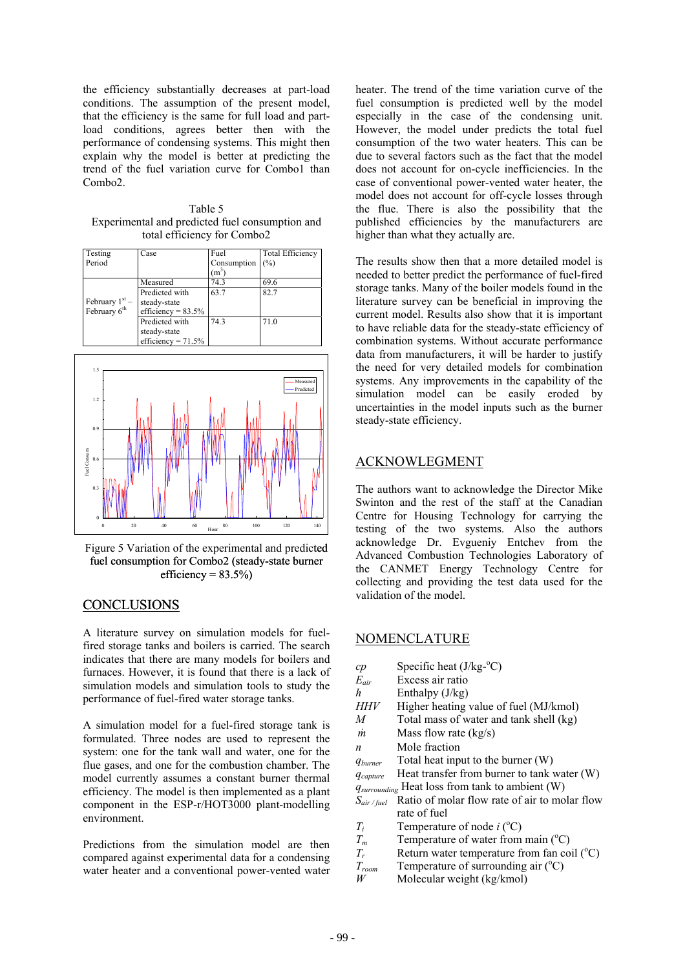the efficiency substantially decreases at part-load conditions. The assumption of the present model, that the efficiency is the same for full load and partload conditions, agrees better then with the performance of condensing systems. This might then explain why the model is better at predicting the trend of the fuel variation curve for Combo1 than Combo2.

Table 5 Experimental and predicted fuel consumption and total efficiency for Combo2

| Testing                                      | Case                  | Fuel        | <b>Total Efficiency</b> |
|----------------------------------------------|-----------------------|-------------|-------------------------|
| Period                                       |                       | Consumption | (%)                     |
|                                              |                       | $(m^3)$     |                         |
| February $1st$ –<br>February 6 <sup>th</sup> | Measured              | 74.3        | 69.6                    |
|                                              | Predicted with        | 63.7        | 82.7                    |
|                                              | steady-state          |             |                         |
|                                              | efficiency = $83.5\%$ |             |                         |
|                                              | Predicted with        | 74.3        | 71.0                    |
|                                              | steady-state          |             |                         |
|                                              | efficiency = $71.5\%$ |             |                         |



fuel consumption for Combo2 (steady-state burner efficiency =  $83.5\%$ )

## C ONCLUSIONS

A literature survey on simulation models for fuelfired storage tanks and boilers is carried. The search indicates that there are many models for boilers and furnaces. However, it is found that there is a lack of simulation models and simulation tools to study the performance of fuel-fired water storage tanks.

formulated. Three nodes are used to represent the system: one for the tank wall and water, one for the A simulation model for a fuel-fired storage tank is flue gases, and one for the combustion chamber. The model currently assumes a constant burner thermal efficiency. The model is then implemented as a plant component in the ESP-r/HOT3000 plant-modelling environment.

compared against experimental data for a condensing water heater and a conventional power-vented water Predictions from the simulation model are then heater. The trend of the time variation curve of the fuel consumption is predicted well by the model especially in the case of the condensing unit. However, the model under predicts the total fuel consumption of the two water heaters. This can be due to several factors such as the fact that the model does not account for on-cycle inefficiencies. In the case of conventional power-vented water heater, the model does not account for off-cycle losses through the flue. There is also the possibility that the published efficiencies by the manufacturers are higher than what they actually are.

needed to better predict the performance of fuel-fired storage tanks. Many of the boiler models found in the The results show then that a more detailed model is literature survey can be beneficial in improving the current model. Results also show that it is important to have reliable data for the steady-state efficiency of combination systems. Without accurate performance data from manufacturers, it will be harder to justify the need for very detailed models for combination systems. Any improvements in the capability of the simulation model can be easily eroded by uncertainties in the model inputs such as the burner steady-state efficiency.

### **ACKNOWLEGMENT**

The authors want to acknowledge the Director Mike Swinton and the rest of the staff at the Canadian Centre for Housing Technology for carrying the testing of the two systems. Also the authors acknowledge Dr. Evgueniy Entchev from the Advanced Combustion Technologies Laboratory of the CANMET Energy Technology Centre for collecting and providing the test data used for the validation of the model.

## NOMENCLATURE

| Specific heat $(J/kg$ - $°C)$                               |
|-------------------------------------------------------------|
| Excess air ratio                                            |
| Enthalpy $(J/kg)$                                           |
| Higher heating value of fuel (MJ/kmol)                      |
| Total mass of water and tank shell (kg)                     |
| Mass flow rate $(kg/s)$                                     |
| Mole fraction                                               |
| Total heat input to the burner $(W)$                        |
| Heat transfer from burner to tank water (W)                 |
| q <sub>surrounding</sub> Heat loss from tank to ambient (W) |
| Ratio of molar flow rate of air to molar flow               |
| rate of fuel                                                |
| Temperature of node $i$ ( $^{\circ}$ C)                     |
| Temperature of water from main $({}^{\circ}C)$              |
| Return water temperature from fan coil $(^{\circ}C)$        |
| Temperature of surrounding air $({}^{\circ}C)$              |
| Molecular weight (kg/kmol)                                  |
|                                                             |